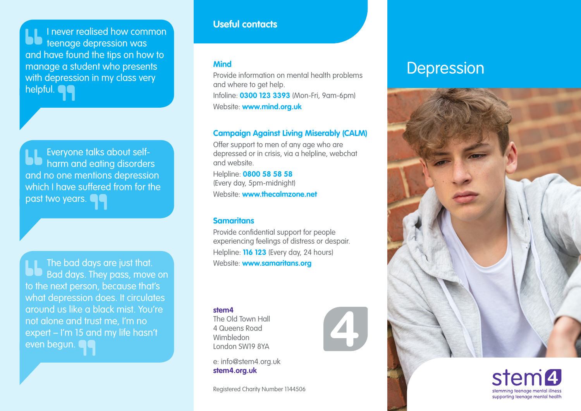I never realised how common teenage depression was and have found the tips on how to manage a student who presents with depression in my class very helpful. **O** 

Everyone talks about selfharm and eating disorders and no one mentions depression which I have suffered from for the past two years.

The bad days are just that. Bad days. They pass, move on to the next person, because that's what depression does. It circulates around us like a black mist. You're not alone and trust me, I'm no expert – I'm 15 and my life hasn't even begun.

#### **Useful contacts**

Provide information on mental health problems and where to get help. Infoline: **0300 123 3393** (Mon-Fri, 9am-6pm) Website: **[www.mind.org.uk](http://www.mind.org.uk)**

#### **Campaign Against Living Miserably (CALM)**

Offer support to men of any age who are depressed or in crisis, via a helpline, webchat and website.

Helpline: **0800 58 58 58** (Every day, 5pm-midnight) Website: **[www.thecalmzone.net](http://www.thecalmzone.net)**

#### **Samaritans**

Provide confidential support for people experiencing feelings of distress or despair. Helpline: **116 123** (Every day, 24 hours) Website: **[www.samaritans.org](http://www.samaritans.org)**

 $\mathbf{Z}$  .

**stem4**

The Old Town Hall 4 Queens Road Wimbledon London SW19 8YA

e: info@stem4.org.uk **[stem4.org.uk](http://stem4.org.uk)**

Registered Charity Number 1144506

# Mind<br>**Depression**